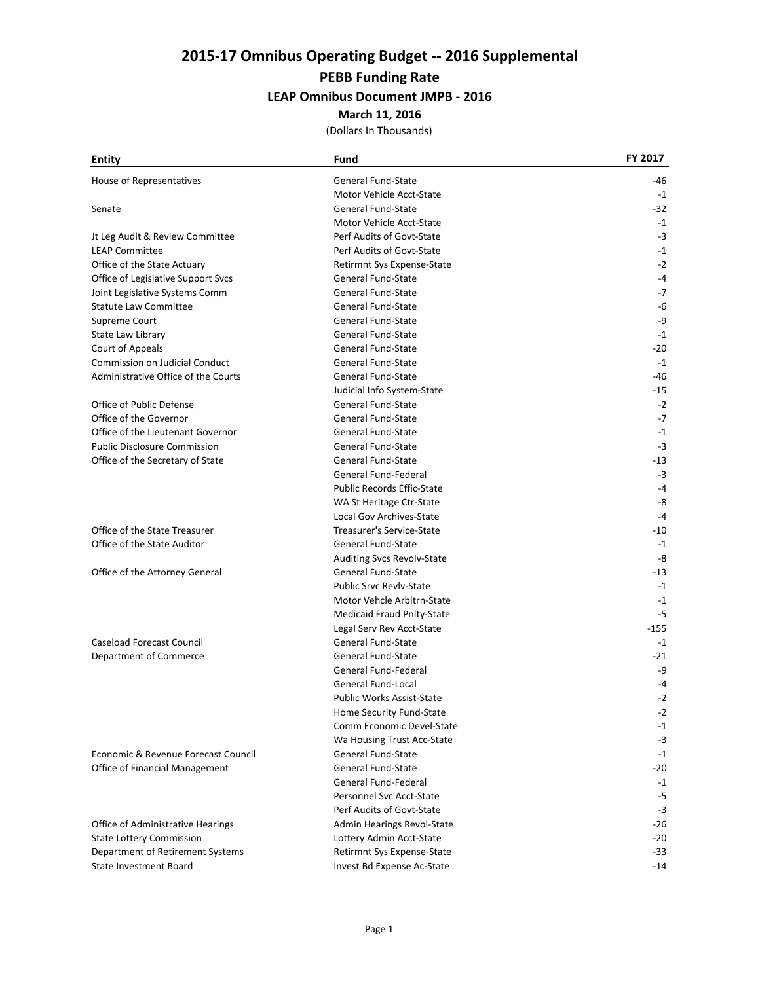# **2015‐17 Omnibus Operating Budget ‐‐ 2016 Supplemental**

### **PEBB Funding Rate**

### **LEAP Omnibus Document JMPB ‐ 2016**

#### **March 11, 2016**

| Entity                              | Fund                              | FY 2017 |
|-------------------------------------|-----------------------------------|---------|
| House of Representatives            | General Fund-State                | -46     |
|                                     | Motor Vehicle Acct-State          | $-1$    |
| Senate                              | General Fund-State                | -32     |
|                                     | Motor Vehicle Acct-State          | $-1$    |
| Jt Leg Audit & Review Committee     | Perf Audits of Govt-State         | $-3$    |
| <b>LEAP Committee</b>               | Perf Audits of Govt-State         | $-1$    |
| Office of the State Actuary         | Retirmnt Sys Expense-State        | $-2$    |
| Office of Legislative Support Svcs  | General Fund-State                | $-4$    |
| Joint Legislative Systems Comm      | <b>General Fund-State</b>         | $-7$    |
| <b>Statute Law Committee</b>        | <b>General Fund-State</b>         | -6      |
| Supreme Court                       | General Fund-State                | -9      |
| State Law Library                   | General Fund-State                | $-1$    |
| Court of Appeals                    | General Fund-State                | -20     |
| Commission on Judicial Conduct      | General Fund-State                | $-1$    |
| Administrative Office of the Courts | General Fund-State                | -46     |
|                                     | Judicial Info System-State        | $-15$   |
| Office of Public Defense            | General Fund-State                | $-2$    |
| Office of the Governor              | General Fund-State                | $-7$    |
| Office of the Lieutenant Governor   | <b>General Fund-State</b>         | $-1$    |
| <b>Public Disclosure Commission</b> | General Fund-State                | $-3$    |
| Office of the Secretary of State    | General Fund-State                | -13     |
|                                     | General Fund-Federal              | $-3$    |
|                                     | <b>Public Records Effic-State</b> | $-4$    |
|                                     | WA St Heritage Ctr-State          | -8      |
|                                     | Local Gov Archives-State          | $-4$    |
| Office of the State Treasurer       | Treasurer's Service-State         | -10     |
| Office of the State Auditor         | General Fund-State                | $-1$    |
|                                     | Auditing Svcs Revolv-State        | -8      |
| Office of the Attorney General      | General Fund-State                | $-13$   |
|                                     | <b>Public Srvc Revly-State</b>    | $-1$    |
|                                     | Motor Vehcle Arbitrn-State        | $-1$    |
|                                     | Medicaid Fraud Pnlty-State        | $-5$    |
|                                     | Legal Serv Rev Acct-State         | $-155$  |
| Caseload Forecast Council           | General Fund-State                | $-1$    |
| Department of Commerce              | General Fund-State                | -21     |
|                                     | General Fund-Federal              | -9      |
|                                     | General Fund-Local                | -4      |
|                                     | <b>Public Works Assist-State</b>  | $-2$    |
|                                     | Home Security Fund-State          | $-2$    |
|                                     | Comm Economic Devel-State         | $-1$    |
|                                     | Wa Housing Trust Acc-State        | $-3$    |
| Economic & Revenue Forecast Council | General Fund-State                | $-1$    |
| Office of Financial Management      | <b>General Fund-State</b>         | $-20$   |
|                                     | General Fund-Federal              | $-1$    |
|                                     | Personnel Svc Acct-State          | $-5$    |
|                                     | Perf Audits of Govt-State         | $-3$    |
| Office of Administrative Hearings   | Admin Hearings Revol-State        | $-26$   |
| <b>State Lottery Commission</b>     | Lottery Admin Acct-State          | $-20$   |
| Department of Retirement Systems    | Retirmnt Sys Expense-State        | $-33$   |
| State Investment Board              | Invest Bd Expense Ac-State        | $-14$   |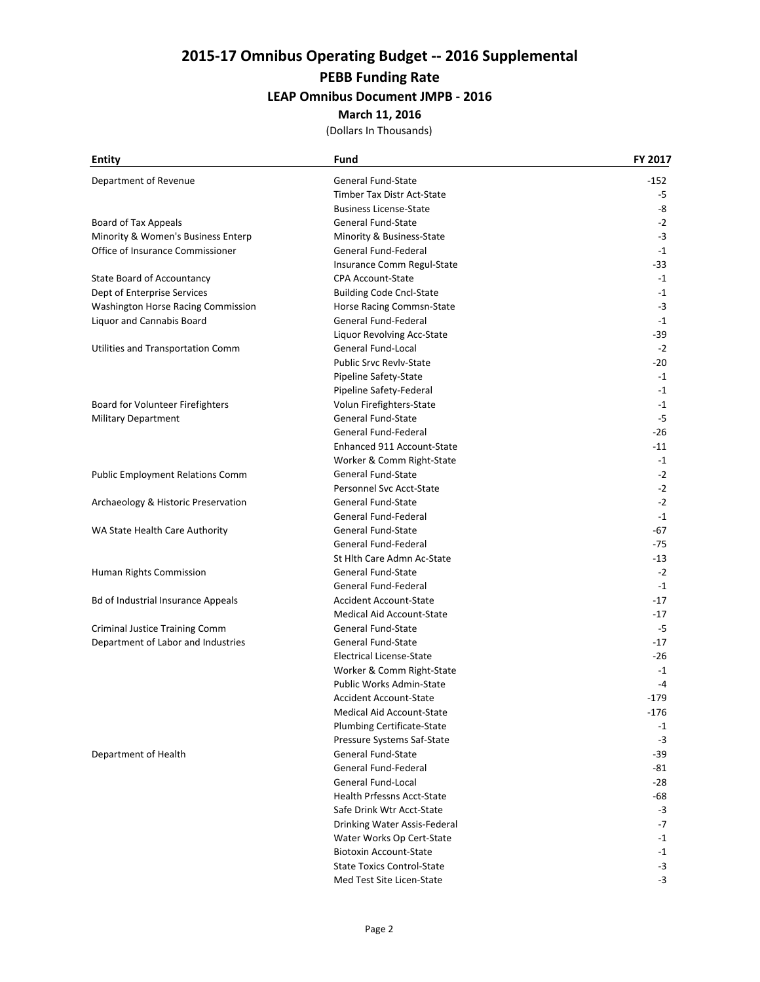# **2015‐17 Omnibus Operating Budget ‐‐ 2016 Supplemental**

# **PEBB Funding Rate**

## **LEAP Omnibus Document JMPB ‐ 2016**

#### **March 11, 2016**

| <b>Entity</b>                           | Fund                              | FY 2017 |
|-----------------------------------------|-----------------------------------|---------|
| Department of Revenue                   | <b>General Fund-State</b>         | -152    |
|                                         | <b>Timber Tax Distr Act-State</b> | $-5$    |
|                                         | <b>Business License-State</b>     | -8      |
| Board of Tax Appeals                    | General Fund-State                | $-2$    |
| Minority & Women's Business Enterp      | Minority & Business-State         | $-3$    |
| Office of Insurance Commissioner        | General Fund-Federal              | $-1$    |
|                                         | Insurance Comm Regul-State        | -33     |
| State Board of Accountancy              | <b>CPA Account-State</b>          | $-1$    |
| Dept of Enterprise Services             | <b>Building Code Cncl-State</b>   | $-1$    |
| Washington Horse Racing Commission      | Horse Racing Commsn-State         | $-3$    |
| Liquor and Cannabis Board               | General Fund-Federal              | $-1$    |
|                                         | Liquor Revolving Acc-State        | -39     |
| Utilities and Transportation Comm       | General Fund-Local                | $-2$    |
|                                         | <b>Public Srvc Revly-State</b>    | -20     |
|                                         | Pipeline Safety-State             | $-1$    |
|                                         | Pipeline Safety-Federal           | $-1$    |
| Board for Volunteer Firefighters        | Volun Firefighters-State          | $-1$    |
| <b>Military Department</b>              | General Fund-State                | $-5$    |
|                                         | General Fund-Federal              | $-26$   |
|                                         | Enhanced 911 Account-State        | -11     |
|                                         | Worker & Comm Right-State         | $-1$    |
| <b>Public Employment Relations Comm</b> | <b>General Fund-State</b>         | $-2$    |
|                                         | Personnel Svc Acct-State          | $-2$    |
| Archaeology & Historic Preservation     | General Fund-State                | $-2$    |
|                                         | General Fund-Federal              | $-1$    |
| WA State Health Care Authority          | General Fund-State                | -67     |
|                                         | General Fund-Federal              | -75     |
|                                         | St Hith Care Admn Ac-State        | -13     |
| Human Rights Commission                 | <b>General Fund-State</b>         | $-2$    |
|                                         | General Fund-Federal              | $-1$    |
| Bd of Industrial Insurance Appeals      | <b>Accident Account-State</b>     | $-17$   |
|                                         | <b>Medical Aid Account-State</b>  | $-17$   |
| Criminal Justice Training Comm          | General Fund-State                | $-5$    |
| Department of Labor and Industries      | General Fund-State                | $-17$   |
|                                         | Electrical License-State          | -26     |
|                                         | Worker & Comm Right-State         | $-1$    |
|                                         | Public Works Admin-State          | $-4$    |
|                                         | <b>Accident Account-State</b>     | $-179$  |
|                                         | Medical Aid Account-State         | $-176$  |
|                                         | Plumbing Certificate-State        | $-1$    |
|                                         | Pressure Systems Saf-State        | -3      |
| Department of Health                    | General Fund-State                | -39     |
|                                         | General Fund-Federal              | -81     |
|                                         | General Fund-Local                | $-28$   |
|                                         | Health Prfessns Acct-State        | -68     |
|                                         | Safe Drink Wtr Acct-State         | $-3$    |
|                                         | Drinking Water Assis-Federal      | $-7$    |
|                                         | Water Works Op Cert-State         | $-1$    |
|                                         | <b>Biotoxin Account-State</b>     | $-1$    |
|                                         | <b>State Toxics Control-State</b> | $-3$    |
|                                         | Med Test Site Licen-State         | $-3$    |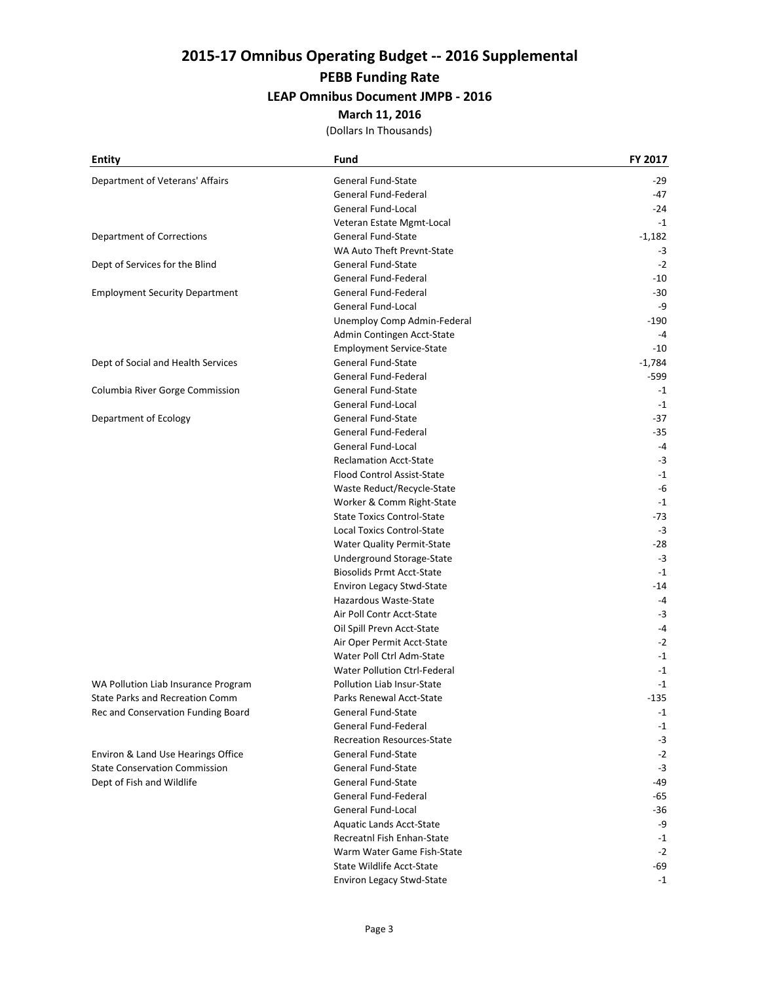# **2015‐17 Omnibus Operating Budget ‐‐ 2016 Supplemental PEBB Funding Rate**

#### **LEAP Omnibus Document JMPB ‐ 2016**

#### **March 11, 2016**

| <b>Entity</b>                          | Fund                                | FY 2017  |
|----------------------------------------|-------------------------------------|----------|
| Department of Veterans' Affairs        | General Fund-State                  | -29      |
|                                        | General Fund-Federal                | -47      |
|                                        | General Fund-Local                  | $-24$    |
|                                        | Veteran Estate Mgmt-Local           | $-1$     |
| <b>Department of Corrections</b>       | General Fund-State                  | $-1,182$ |
|                                        | WA Auto Theft Prevnt-State          | $-3$     |
| Dept of Services for the Blind         | General Fund-State                  | $-2$     |
|                                        | General Fund-Federal                | $-10$    |
| <b>Employment Security Department</b>  | General Fund-Federal                | $-30$    |
|                                        | General Fund-Local                  | -9       |
|                                        | Unemploy Comp Admin-Federal         | -190     |
|                                        | Admin Contingen Acct-State          | $-4$     |
|                                        | <b>Employment Service-State</b>     | $-10$    |
| Dept of Social and Health Services     | General Fund-State                  | $-1,784$ |
|                                        | General Fund-Federal                | -599     |
| Columbia River Gorge Commission        | General Fund-State                  | $-1$     |
|                                        | General Fund-Local                  | $-1$     |
| Department of Ecology                  | <b>General Fund-State</b>           | -37      |
|                                        | General Fund-Federal                | $-35$    |
|                                        | <b>General Fund-Local</b>           | $-4$     |
|                                        | <b>Reclamation Acct-State</b>       | $-3$     |
|                                        | Flood Control Assist-State          | $-1$     |
|                                        | Waste Reduct/Recycle-State          | -6       |
|                                        | Worker & Comm Right-State           | $-1$     |
|                                        | <b>State Toxics Control-State</b>   | -73      |
|                                        | <b>Local Toxics Control-State</b>   | $-3$     |
|                                        | Water Quality Permit-State          | $-28$    |
|                                        | Underground Storage-State           | $-3$     |
|                                        | <b>Biosolids Prmt Acct-State</b>    | $-1$     |
|                                        | <b>Environ Legacy Stwd-State</b>    | -14      |
|                                        | Hazardous Waste-State               | -4       |
|                                        | Air Poll Contr Acct-State           | $-3$     |
|                                        | Oil Spill Prevn Acct-State          | -4       |
|                                        | Air Oper Permit Acct-State          | $-2$     |
|                                        | Water Poll Ctrl Adm-State           | $-1$     |
|                                        | <b>Water Pollution Ctrl-Federal</b> | $-1$     |
| WA Pollution Liab Insurance Program    | Pollution Liab Insur-State          | $-1$     |
| <b>State Parks and Recreation Comm</b> | Parks Renewal Acct-State            | $-135$   |
| Rec and Conservation Funding Board     | General Fund-State                  | $-1$     |
|                                        | General Fund-Federal                | $-1$     |
|                                        | <b>Recreation Resources-State</b>   | $-3$     |
| Environ & Land Use Hearings Office     | General Fund-State                  | $-2$     |
| <b>State Conservation Commission</b>   | General Fund-State                  | $-3$     |
| Dept of Fish and Wildlife              | General Fund-State                  | -49      |
|                                        | General Fund-Federal                | -65      |
|                                        | General Fund-Local                  | -36      |
|                                        | Aquatic Lands Acct-State            | -9       |
|                                        | Recreatnl Fish Enhan-State          | $-1$     |
|                                        | Warm Water Game Fish-State          | $-2$     |
|                                        | State Wildlife Acct-State           | $-69$    |
|                                        | Environ Legacy Stwd-State           | $-1$     |
|                                        |                                     |          |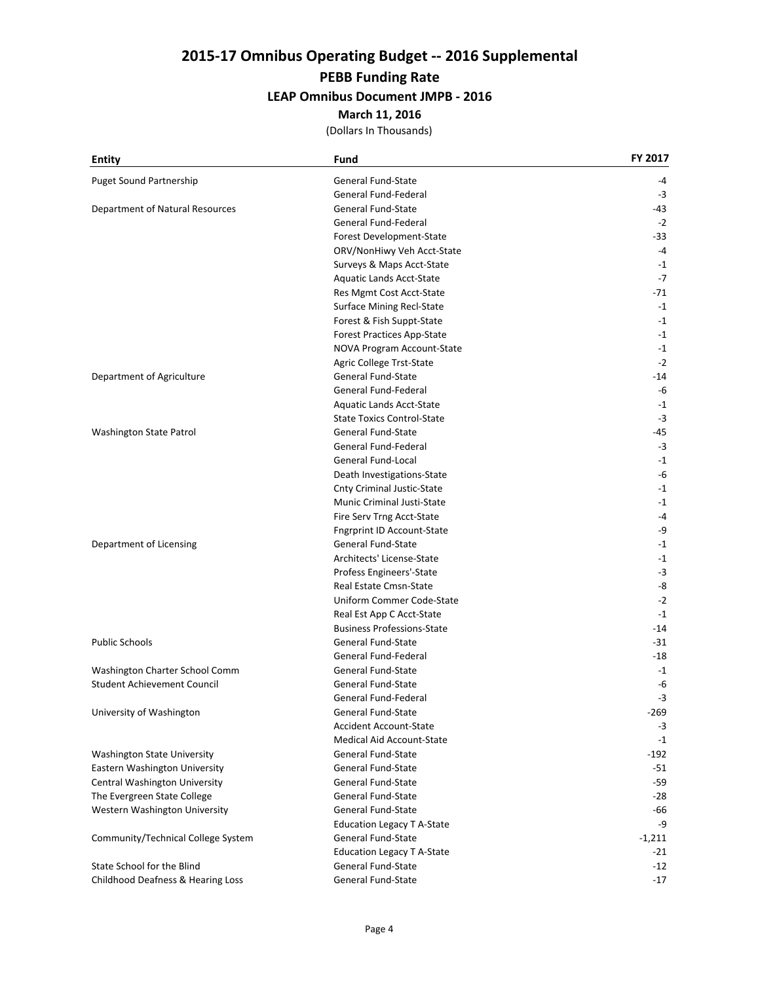# **2015‐17 Omnibus Operating Budget ‐‐ 2016 Supplemental**

### **PEBB Funding Rate**

#### **LEAP Omnibus Document JMPB ‐ 2016**

#### **March 11, 2016**

| <b>Entity</b>                      | Fund                              | FY 2017  |
|------------------------------------|-----------------------------------|----------|
| <b>Puget Sound Partnership</b>     | General Fund-State                | -4       |
|                                    | General Fund-Federal              | -3       |
| Department of Natural Resources    | <b>General Fund-State</b>         | -43      |
|                                    | General Fund-Federal              | $-2$     |
|                                    | Forest Development-State          | $-33$    |
|                                    | ORV/NonHiwy Veh Acct-State        | $-4$     |
|                                    | Surveys & Maps Acct-State         | $-1$     |
|                                    | Aquatic Lands Acct-State          | $-7$     |
|                                    | Res Mgmt Cost Acct-State          | -71      |
|                                    | <b>Surface Mining Recl-State</b>  | $-1$     |
|                                    | Forest & Fish Suppt-State         | $-1$     |
|                                    | <b>Forest Practices App-State</b> | $-1$     |
|                                    | NOVA Program Account-State        | $-1$     |
|                                    | Agric College Trst-State          | $-2$     |
| Department of Agriculture          | General Fund-State                | -14      |
|                                    | General Fund-Federal              | -6       |
|                                    | Aquatic Lands Acct-State          | $-1$     |
|                                    | <b>State Toxics Control-State</b> | $-3$     |
| Washington State Patrol            | General Fund-State                | $-45$    |
|                                    | General Fund-Federal              | $-3$     |
|                                    | <b>General Fund-Local</b>         | $-1$     |
|                                    | Death Investigations-State        | -6       |
|                                    | <b>Cnty Criminal Justic-State</b> | $-1$     |
|                                    | Munic Criminal Justi-State        | $-1$     |
|                                    | Fire Serv Trng Acct-State         | $-4$     |
|                                    | <b>Fngrprint ID Account-State</b> | -9       |
| Department of Licensing            | General Fund-State                | $-1$     |
|                                    | Architects' License-State         | $-1$     |
|                                    | Profess Engineers'-State          | $-3$     |
|                                    | Real Estate Cmsn-State            | -8       |
|                                    | Uniform Commer Code-State         | $-2$     |
|                                    | Real Est App C Acct-State         | $-1$     |
|                                    | <b>Business Professions-State</b> | -14      |
| <b>Public Schools</b>              | <b>General Fund-State</b>         | -31      |
|                                    | General Fund-Federal              | -18      |
| Washington Charter School Comm     | General Fund-State                | $-1$     |
| Student Achievement Council        | <b>General Fund-State</b>         | -6       |
|                                    | General Fund-Federal              | $-3$     |
| University of Washington           | General Fund-State                | -269     |
|                                    | <b>Accident Account-State</b>     | $-3$     |
|                                    | <b>Medical Aid Account-State</b>  | $-1$     |
| <b>Washington State University</b> | General Fund-State                | -192     |
| Eastern Washington University      | General Fund-State                | $-51$    |
| Central Washington University      | General Fund-State                | -59      |
| The Evergreen State College        | General Fund-State                | -28      |
| Western Washington University      | General Fund-State                | -66      |
|                                    | <b>Education Legacy T A-State</b> | -9       |
| Community/Technical College System | General Fund-State                | $-1,211$ |
|                                    | <b>Education Legacy T A-State</b> | $-21$    |
| State School for the Blind         | <b>General Fund-State</b>         | -12      |
| Childhood Deafness & Hearing Loss  | General Fund-State                | $-17$    |